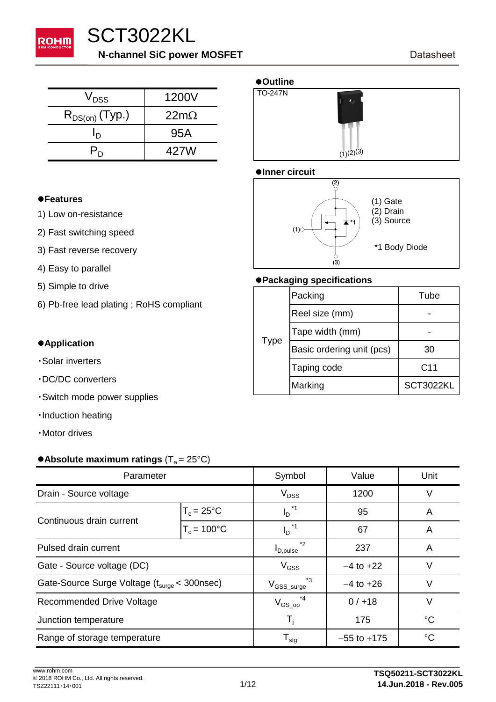

# SCT3022KL **N-channel SiC power MOSFET**

 $V_{\text{DSS}}$  1200V  $\boxed{\text{TO-247N}}$  $R_{DS(on)}$  (Typ.) | 22m $\Omega$  $I_D$  95A  $\overline{P_{D}}$  | 427W

#### l**Features**

- 1) Low on-resistance
- 2) Fast switching speed
- 3) Fast reverse recovery
- 4) Easy to parallel
- 
- 6) Pb-free lead plating ; RoHS compliant

- Solar inverters
- 
- ・Switch mode power supplies
- ・Induction heating
- ・Motor drives

#### • Absolute maximum ratings  $(T_a = 25^{\circ}C)$

| Parameter                                                |                       | Symbol                          | Value           | Unit        |
|----------------------------------------------------------|-----------------------|---------------------------------|-----------------|-------------|
| Drain - Source voltage                                   |                       | $V_{DSS}$                       | 1200            | V           |
| Continuous drain current                                 | $T_c = 25^{\circ}$ C  | $I_D^{\star}$ <sup>1</sup>      | 95              | A           |
|                                                          | $T_c = 100^{\circ}$ C | $I_D^{\star}$ <sup>1</sup>      | 67              | A           |
| Pulsed drain current                                     |                       | $*_{2}$<br>$I_{D,pulse}$        | 237             | A           |
| Gate - Source voltage (DC)                               |                       | $V_{GSS}$                       | $-4$ to $+22$   | V           |
| Gate-Source Surge Voltage (t <sub>surge</sub> < 300nsec) |                       | $*_{3}$<br>$\rm V_{GSS\_surge}$ | $-4$ to $+26$   | V           |
| Recommended Drive Voltage                                |                       | $V_{GS\_op}$                    | 0/118           | $\vee$      |
| Junction temperature                                     |                       | T,                              | 175             | $^{\circ}C$ |
| Range of storage temperature                             |                       | ${\sf T}_{\sf stg}$             | $-55$ to $+175$ | $^{\circ}C$ |



#### $\bullet$ **Inner circuit**



# <sup>l</sup>**Packaging specifications** 5) Simple to drive

| 5) Simple to arive                      |             | Packing                   | Tube            |
|-----------------------------------------|-------------|---------------------------|-----------------|
| 6) Pb-free lead plating; RoHS compliant |             | Reel size (mm)            |                 |
|                                         |             | Tape width (mm)           |                 |
| <b>Application</b>                      | <b>Type</b> | Basic ordering unit (pcs) | 30              |
| ·Solar inverters<br>DC/DC converters    |             | Taping code               | C <sub>11</sub> |
|                                         |             | Marking                   | SCT3022KL       |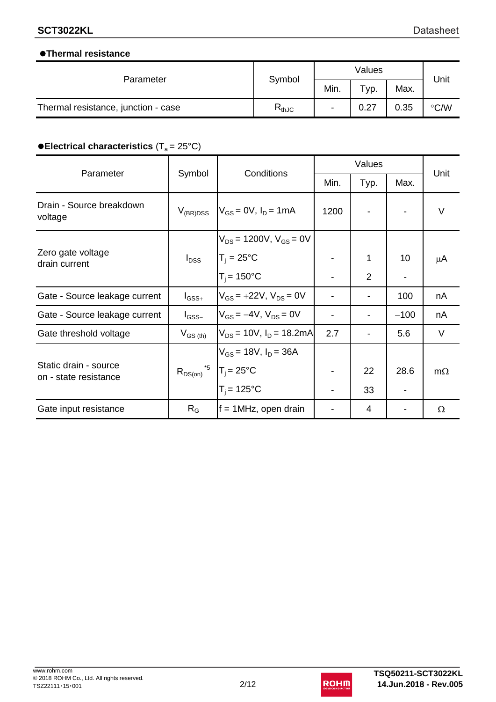#### l**Thermal resistance**

| Parameter                           | Symbol     | Values |                      |      | Unit          |
|-------------------------------------|------------|--------|----------------------|------|---------------|
|                                     |            | Min.   | $\tau_{\text{VP}}$ . | Max. |               |
| Thermal resistance, junction - case | $R_{thJC}$ | ۰      | 0.27                 | 0.35 | $\degree$ C/W |

## **• Electrical characteristics (T<sub>a</sub> = 25°C)**

|                                                | Conditions<br>Symbol<br>Parameter      | Values                          |                          |                | Unit                     |           |
|------------------------------------------------|----------------------------------------|---------------------------------|--------------------------|----------------|--------------------------|-----------|
|                                                |                                        | Min.                            | Typ.                     | Max.           |                          |           |
| Drain - Source breakdown<br>voltage            | $V_{(BR)DSS}$                          | $V_{GS} = 0V$ , $I_D = 1mA$     | 1200                     |                |                          | V         |
|                                                |                                        | $V_{DS}$ = 1200V, $V_{GS}$ = 0V |                          |                |                          |           |
| Zero gate voltage<br>drain current             | $I_{\text{DSS}}$                       | $T_i = 25^{\circ}C$             |                          | 1              | 10                       | μA        |
|                                                |                                        | $T_i = 150^{\circ}C$            | $\overline{\phantom{a}}$ | $\overline{2}$ | $\overline{\phantom{a}}$ |           |
| Gate - Source leakage current                  | $I_{\text{GSS}+}$                      | $V_{GS}$ = +22V, $V_{DS}$ = 0V  |                          |                | 100                      | nA        |
| Gate - Source leakage current                  | $I_{\rm GSS-}$                         | $V_{GS} = -4V$ , $V_{DS} = 0V$  |                          |                | $-100$                   | nA        |
| Gate threshold voltage                         | $V_{GS (th)}$                          | $V_{DS}$ = 10V, $I_D$ = 18.2mA  | 2.7                      |                | 5.6                      | $\vee$    |
|                                                |                                        | $V_{GS}$ = 18V, $I_D$ = 36A     |                          |                |                          |           |
| Static drain - source<br>on - state resistance | $R_{DS(on)}^{5}$   $T_j = 25^{\circ}C$ |                                 |                          | 22             | 28.6                     | $m\Omega$ |
|                                                |                                        | $T_i = 125$ °C                  |                          | 33             |                          |           |
| Gate input resistance                          | $R_G$                                  | $f = 1$ MHz, open drain         |                          | 4              |                          | Ω         |

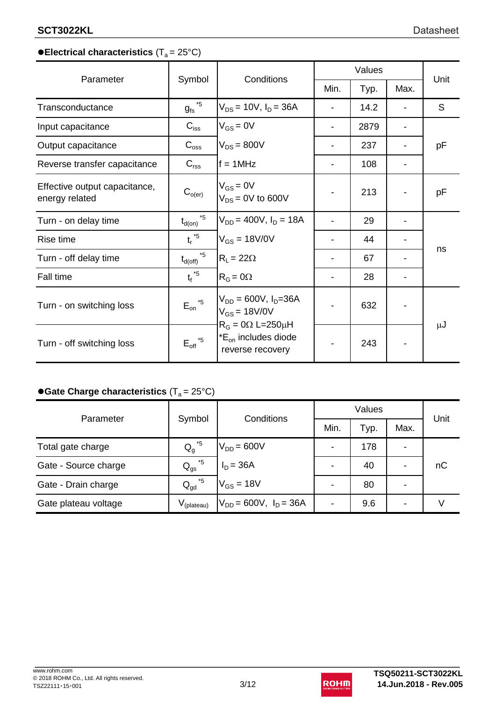## **• Electrical characteristics (T<sub>a</sub> = 25°C)**

| Parameter                                       |                                     | Conditions                                                                      |      | Values |      | Unit    |
|-------------------------------------------------|-------------------------------------|---------------------------------------------------------------------------------|------|--------|------|---------|
|                                                 | Symbol                              |                                                                                 | Min. | Typ.   | Max. |         |
| Transconductance                                | $g_{fs}$ <sup><math>*5</math></sup> | $V_{DS}$ = 10V, $I_D$ = 36A                                                     |      | 14.2   |      | S       |
| Input capacitance                               | $C_{\text{iss}}$                    | $V_{GS} = 0V$                                                                   |      | 2879   |      |         |
| Output capacitance                              | $C_{\rm oss}$                       | $V_{DS}$ = 800V                                                                 |      | 237    |      | pF      |
| Reverse transfer capacitance                    | $C_{\text{rss}}$                    | $f = 1$ MHz                                                                     |      | 108    |      |         |
| Effective output capacitance,<br>energy related | $C_{o(er)}$                         | $V_{GS} = 0V$<br>$V_{DS}$ = 0V to 600V                                          |      | 213    |      | рF      |
| Turn - on delay time                            | $*5$<br>$t_{d(on)}$                 | $V_{DD} = 400V$ , $I_D = 18A$                                                   |      | 29     |      |         |
| Rise time                                       | $t_r^{\star 5}$                     | $V_{GS} = 18 V/0 V$                                                             |      | 44     |      |         |
| Turn - off delay time                           | $*5$<br>$t_{d(\text{off})}$         | $R_{L} = 22\Omega$                                                              |      | 67     |      | ns      |
| <b>Fall time</b>                                | $t_f^*$ <sup>5</sup>                | $R_G = 0\Omega$                                                                 |      | 28     |      |         |
| Turn - on switching loss                        | $*5$<br>$E_{\text{on}}$             | $V_{DD} = 600V, I_D = 36A$<br>$V_{GS}$ = 18V/0V<br>$R_G = 0\Omega L = 250\mu H$ |      | 632    |      | $\mu$ J |
| Turn - off switching loss                       | $\mathsf{E_{\text{off}}}^{\star 5}$ | $E_{\text{on}}$ includes diode<br>reverse recovery                              |      | 243    |      |         |

## **• Gate Charge characteristics (T<sub>a</sub> = 25°C)**

| Parameter            |                                  | Conditions                    | Values                   |      |      | Unit |
|----------------------|----------------------------------|-------------------------------|--------------------------|------|------|------|
|                      | Symbol                           |                               | Min.                     | Typ. | Max. |      |
| Total gate charge    | $Q_g^{\star 5}$                  | $V_{DD} = 600V$               | -                        | 178  | ۰    |      |
| Gate - Source charge | *5<br>$\mathsf{Q}_{\mathsf{gs}}$ | $I_D = 36A$                   |                          | 40   |      | nC   |
| Gate - Drain charge  | *5<br>$Q_{\text{gd}}$            | $V_{GS}$ = 18V                |                          | 80   |      |      |
| Gate plateau voltage | V <sub>(plateau)</sub>           | $V_{DD} = 600V$ , $I_D = 36A$ | $\overline{\phantom{0}}$ | 9.6  |      |      |

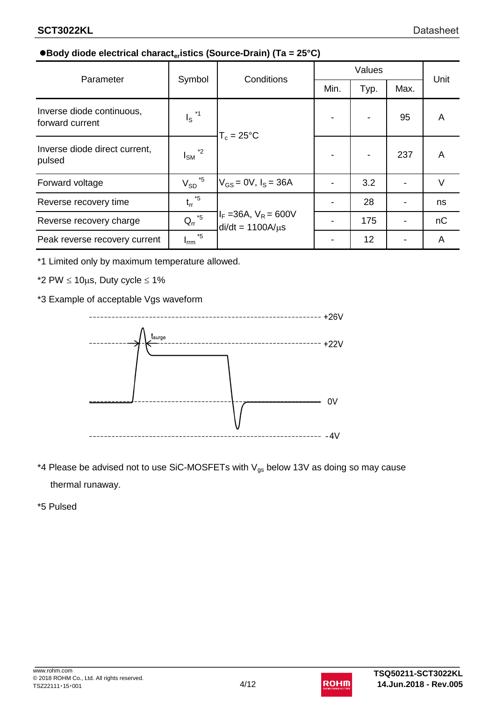### l**Body diode electrical characteristics (Source-Drain) (Ta = 25°C)**

| Parameter                                    |                                 | <b>Conditions</b>                                   | Values |      |      | Unit |
|----------------------------------------------|---------------------------------|-----------------------------------------------------|--------|------|------|------|
|                                              | Symbol                          |                                                     | Min.   | Typ. | Max. |      |
| Inverse diode continuous,<br>forward current | $I_S$ <sup>*1</sup>             | $T_c = 25^{\circ}$ C                                |        |      | 95   | A    |
| Inverse diode direct current,<br>pulsed      | $*_{2}$<br>l <sub>SM</sub>      |                                                     |        |      | 237  | A    |
| Forward voltage                              | *5<br>$V_{SD}$                  | $V_{GS} = 0V$ , $I_S = 36A$                         |        | 3.2  |      | V    |
| Reverse recovery time                        | $t_{rr}$ *5                     | $I_F = 36A$ , $V_R = 600V$<br>$di/dt = 1100A/\mu s$ |        | 28   |      | ns   |
| Reverse recovery charge                      | $Q_{rr}$ <sup>*5</sup>          |                                                     |        | 175  |      | nC   |
| Peak reverse recovery current                | $*5$<br><b>I</b> <sub>rrm</sub> |                                                     |        | 12   |      | A    |

\*1 Limited only by maximum temperature allowed.

\*2 PW  $\leq 10 \mu s$ , Duty cycle  $\leq 1\%$ 

\*3 Example of acceptable Vgs waveform



\*4 Please be advised not to use SiC-MOSFETs with  $\rm V_{gs}$  below 13V as doing so may cause thermal runaway.

\*5 Pulsed

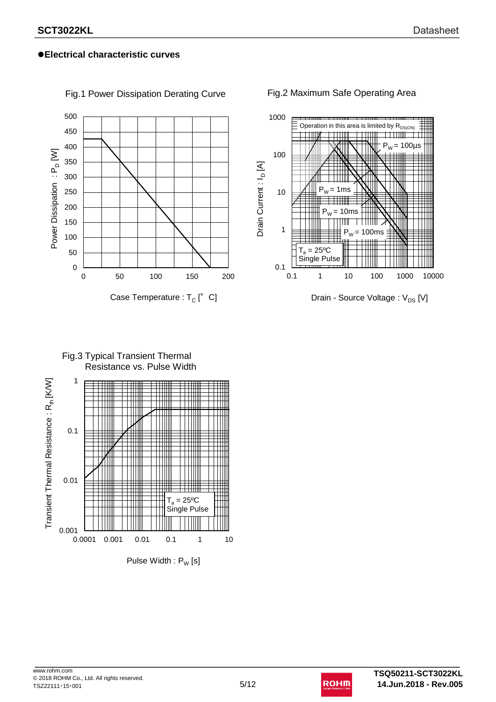

Fig.1 Power Dissipation Derating Curve

#### Fig.2 Maximum Safe Operating Area



Fig.3 Typical Transient Thermal Resistance vs. Pulse Width



www.rohm.com © 2018 ROHM Co., Ltd. All rights reserved. TSZ22111・15・001 5/12

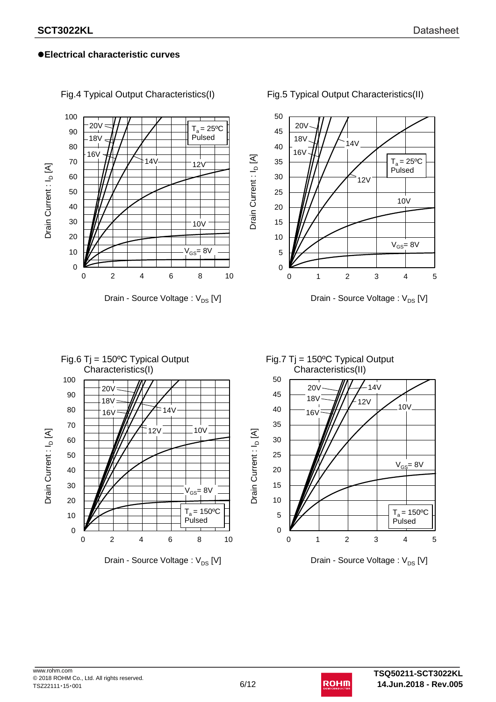

Fig.4 Typical Output Characteristics(I)

#### Fig.5 Typical Output Characteristics(II)

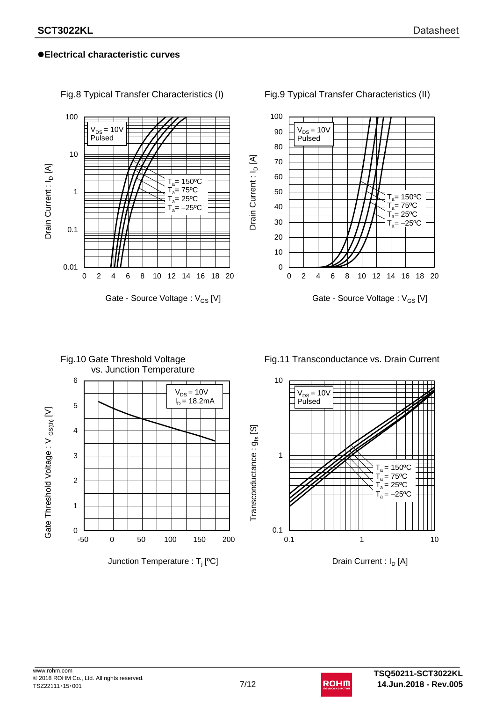

Fig.8 Typical Transfer Characteristics (I)

Fig.9 Typical Transfer Characteristics (II)



## Fig.10 Gate Threshold Voltage vs. Junction Temperature 6  $V_{DS} = 10V$  $I_D = 18.2 \text{mA}$ 5 Gate Threshold Voltage: V <sub>GS(th)</sub> [V] Gate Threshold Voltage : V  $_{\rm GS (th)}$  [V] 4 3 2 1  $0$  –50 -50 0 50 100 150 200 Junction Temperature : T<sub>j</sub> [ºC]

Fig.11 Transconductance vs. Drain Current



Drain Current :  $I_D$  [A]

 $\sf{Transconductance:}$   $g_{\sf fs}$  [S]

 $Transconductance: g_{fs}$  [S]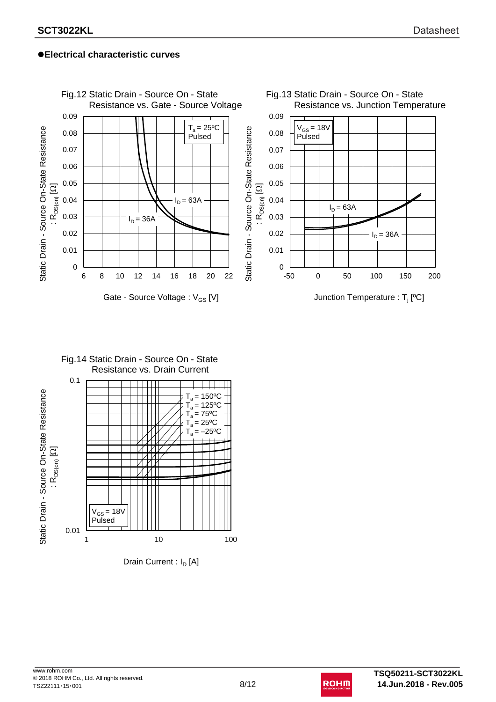

#### Fig.14 Static Drain - Source On - State Resistance vs. Drain Current 0.1  $\overline{\phantom{a}}$ Static Drain - Source On-State Resistance Static Drain - Source On-State Resistance  $T_a = 150$ <sup>o</sup>C  $T_a = 125$ <sup>o</sup>C  $T_a = 75$ <sup>o</sup>C  $T_a = 25$ <sup>o</sup>C  $T_a = -25$ <sup>o</sup>C  $\Xi$ : R<sub>DS(on)</sub>  $\overline{\mathcal{M}}$  $V_{GS}$  = 18V Pulsed 0.01 1 10 100

Drain Current :  $I_D$  [A]

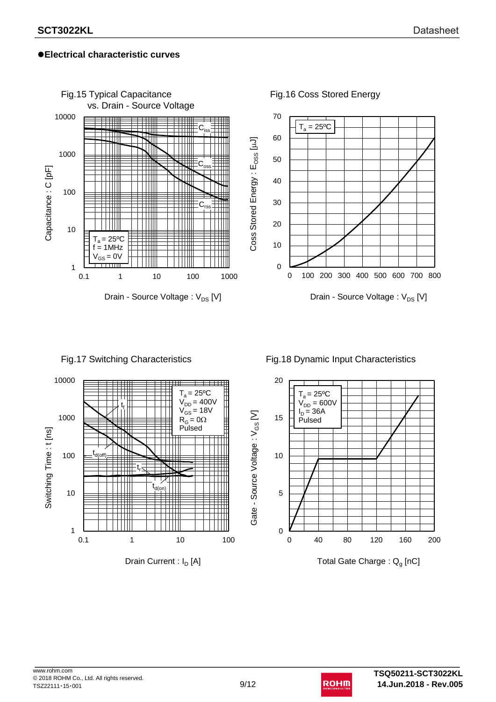

#### Fig.17 Switching Characteristics







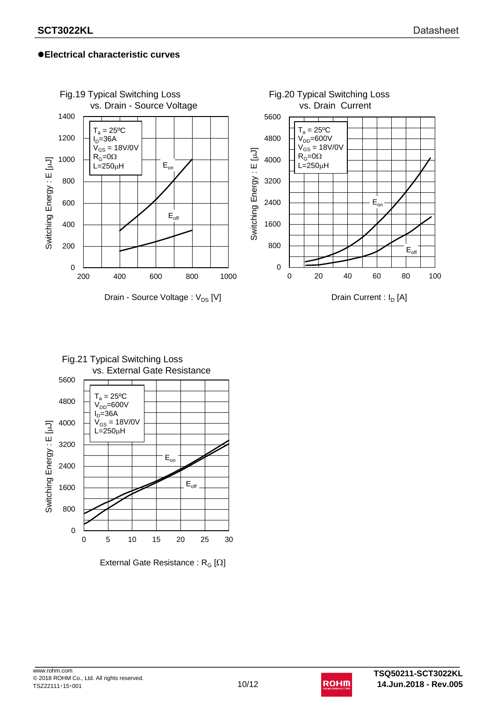



External Gate Resistance :  $R_G [\Omega]$ 

www.rohm.com © 2018 ROHM Co., Ltd. All rights reserved. TSZ22111 · 15 · 001 **10**/12

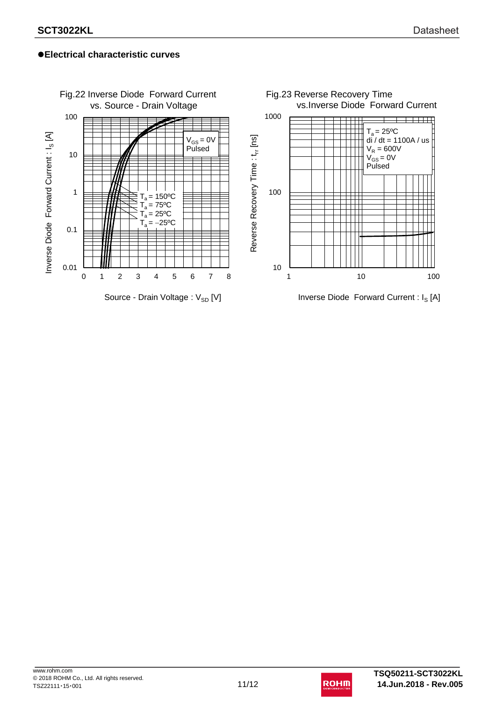

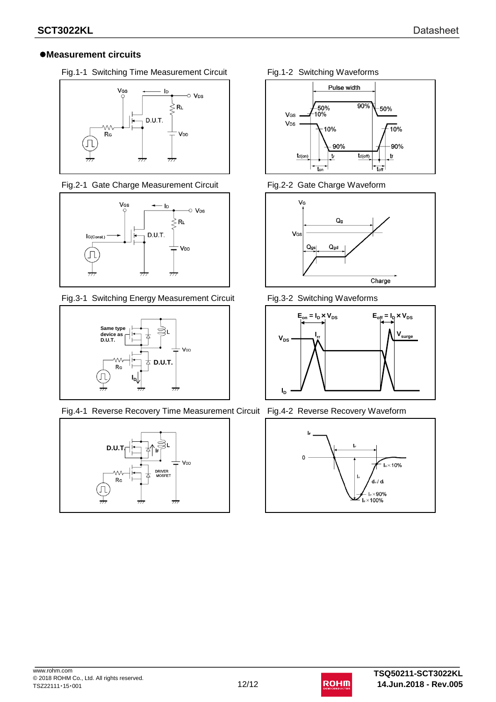#### l**Measurement circuits**

Fig.1-1 Switching Time Measurement Circuit Fig.1-2 Switching Waveforms



Fig.2-1 Gate Charge Measurement Circuit Fig.2-2 Gate Charge Waveform



Fig.3-1 Switching Energy Measurement Circuit Fig.3-2 Switching Waveforms



Fig.4-1 Reverse Recovery Time Measurement Circuit Fig.4-2 Reverse Recovery Waveform